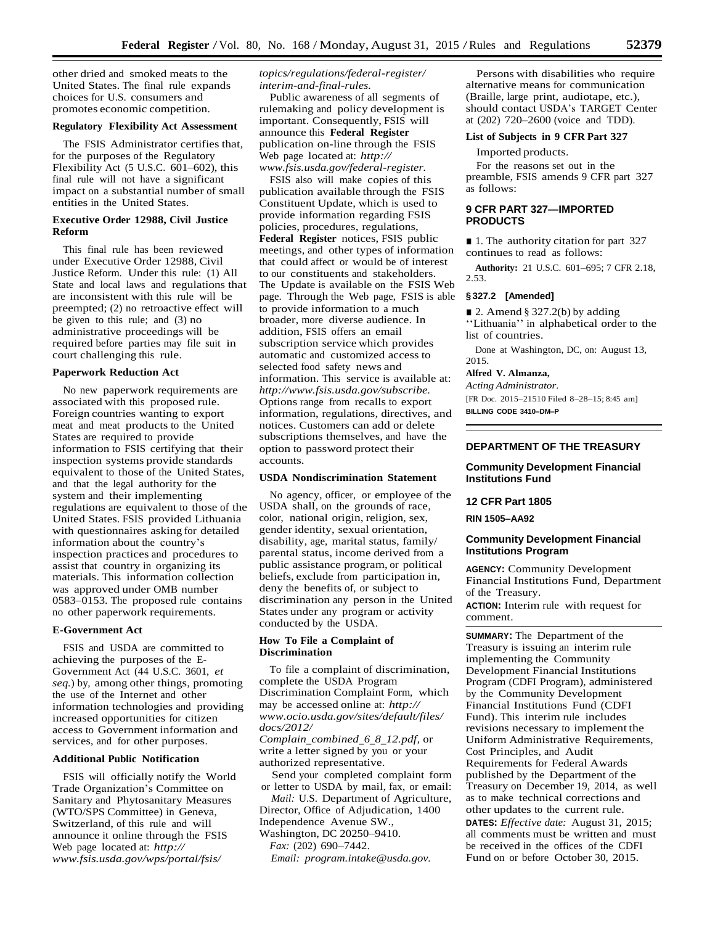other dried and smoked meats to the United States. The final rule expands choices for U.S. consumers and promotes economic competition.

### **Regulatory Flexibility Act Assessment**

The FSIS Administrator certifies that, for the purposes of the Regulatory Flexibility Act (5 U.S.C. 601–602), this final rule will not have a significant impact on a substantial number of small entities in the United States.

## **Executive Order 12988, Civil Justice Reform**

This final rule has been reviewed under Executive Order 12988, Civil Justice Reform. Under this rule: (1) All State and local laws and regulations that are inconsistent with this rule will be preempted; (2) no retroactive effect will be given to this rule; and (3) no administrative proceedings will be required before parties may file suit in court challenging this rule.

### **Paperwork Reduction Act**

No new paperwork requirements are associated with this proposed rule. Foreign countries wanting to export meat and meat products to the United States are required to provide information to FSIS certifying that their inspection systems provide standards equivalent to those of the United States, and that the legal authority for the system and their implementing regulations are equivalent to those of the United States. FSIS provided Lithuania with questionnaires asking for detailed information about the country's inspection practices and procedures to assist that country in organizing its materials. This information collection was approved under OMB number 0583–0153. The proposed rule contains no other paperwork requirements.

### **E-Government Act**

FSIS and USDA are committed to achieving the purposes of the E-Government Act (44 U.S.C. 3601, *et seq.*) by, among other things, promoting the use of the Internet and other information technologies and providing increased opportunities for citizen access to Government information and services, and for other purposes.

#### **Additional Public Notification**

FSIS will officially notify the World Trade Organization's Committee on Sanitary and Phytosanitary Measures (WTO/SPS Committee) in Geneva, Switzerland, of this rule and will announce it online through the FSIS Web page located at: *[http://](http://www.fsis.usda.gov/wps/portal/fsis/topics/regulations/federal-register/interim-and-final-rules)  [www.fsis.usda.gov/wps/portal/fsis/](http://www.fsis.usda.gov/wps/portal/fsis/topics/regulations/federal-register/interim-and-final-rules)*

*[topics/regulations/federal-register/](http://www.fsis.usda.gov/wps/portal/fsis/topics/regulations/federal-register/interim-and-final-rules) [interim-and-final-rules.](http://www.fsis.usda.gov/wps/portal/fsis/topics/regulations/federal-register/interim-and-final-rules)*

Public awareness of all segments of rulemaking and policy development is important. Consequently, FSIS will announce this **Federal Register**  publication on-line through the FSIS Web page located at: *[http://](http://www.fsis.usda.gov/federal-register)  [www.fsis.usda.gov/federal-register.](http://www.fsis.usda.gov/federal-register)*

FSIS also will make copies of this publication available through the FSIS Constituent Update, which is used to provide information regarding FSIS policies, procedures, regulations, **Federal Register** notices, FSIS public meetings, and other types of information that could affect or would be of interest to our constituents and stakeholders. The Update is available on the FSIS Web page. Through the Web page, FSIS is able to provide information to a much broader, more diverse audience. In addition, FSIS offers an email subscription service which provides automatic and customized access to selected food safety news and information. This service is available at: *[http://www.fsis.usda.gov/subscribe.](http://www.fsis.usda.gov/subscribe)*  Options range from recalls to export information, regulations, directives, and notices. Customers can add or delete subscriptions themselves, and have the option to password protect their accounts.

#### **USDA Nondiscrimination Statement**

No agency, officer, or employee of the USDA shall, on the grounds of race, color, national origin, religion, sex, gender identity, sexual orientation, disability, age, marital status, family/ parental status, income derived from a public assistance program, or political beliefs, exclude from participation in, deny the benefits of, or subject to discrimination any person in the United States under any program or activity conducted by the USDA.

### **How To File a Complaint of Discrimination**

To file a complaint of discrimination, complete the USDA Program Discrimination Complaint Form, which may be accessed online at: *[http://](http://www.ocio.usda.gov/sites/default/files/docs/2012/Complain_combined_6_8_12.pdf)  [www.ocio.usda.gov/sites/default/files/](http://www.ocio.usda.gov/sites/default/files/docs/2012/Complain_combined_6_8_12.pdf) [docs/2012/](http://www.ocio.usda.gov/sites/default/files/docs/2012/Complain_combined_6_8_12.pdf)  Complain*\_*[combined](http://www.ocio.usda.gov/sites/default/files/docs/2012/Complain_combined_6_8_12.pdf)*\_*6*\_*8*\_*12.pdf,* or

write a letter signed by you or your authorized representative.

Send your completed complaint form or letter to USDA by mail, fax, or email:

*Mail:* U.S. Department of Agriculture, Director, Office of Adjudication, 1400 Independence Avenue SW., Washington, DC 20250–9410.

*Fax:* (202) 690–7442.

*Email: [program.intake@usda.gov.](mailto:program.intake@usda.gov)*

Persons with disabilities who require alternative means for communication (Braille, large print, audiotape, etc.), should contact USDA's TARGET Center at (202) 720–2600 (voice and TDD).

#### **List of Subjects in 9 CFR Part 327**

Imported products.

For the reasons set out in the preamble, FSIS amends 9 CFR part 327 as follows:

### **9 CFR PART 327—IMPORTED PRODUCTS**

■ 1. The authority citation for part 327 continues to read as follows:

**Authority:** 21 U.S.C. 601–695; 7 CFR 2.18, 2.53.

#### **§ 327.2 [Amended]**

■ 2. Amend § 327.2(b) by adding ''Lithuania'' in alphabetical order to the list of countries.

Done at Washington, DC, on: August 13, 2015.

## **Alfred V. Almanza,**

*Acting Administrator.*

[FR Doc. 2015–21510 Filed 8–28–15; 8:45 am]

**BILLING CODE 3410–DM–P**

#### **DEPARTMENT OF THE TREASURY**

### **Community Development Financial Institutions Fund**

## **12 CFR Part 1805**

**RIN 1505–AA92**

## **Community Development Financial Institutions Program**

**AGENCY:** Community Development Financial Institutions Fund, Department of the Treasury.

**ACTION:** Interim rule with request for comment.

**SUMMARY:** The Department of the Treasury is issuing an interim rule implementing the Community Development Financial Institutions Program (CDFI Program), administered by the Community Development Financial Institutions Fund (CDFI Fund). This interim rule includes revisions necessary to implement the Uniform Administrative Requirements, Cost Principles, and Audit Requirements for Federal Awards published by the Department of the Treasury on December 19, 2014, as well as to make technical corrections and other updates to the current rule. **DATES:** *Effective date:* August 31, 2015; all comments must be written and must be received in the offices of the CDFI Fund on or before October 30, 2015.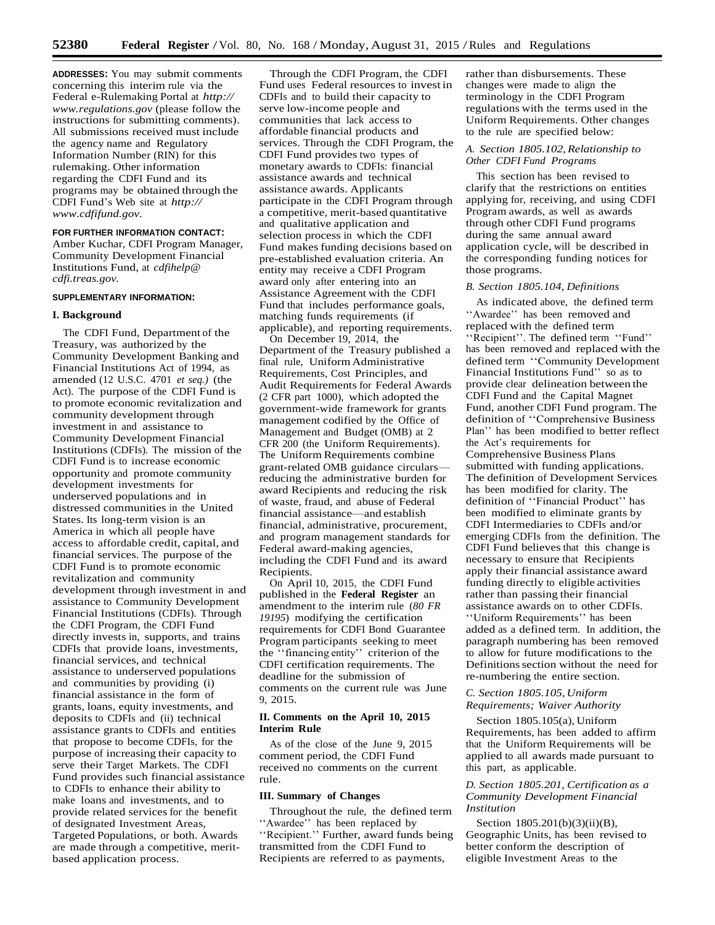**ADDRESSES:** You may submit comments concerning this interim rule via the Federal e-Rulemaking Portal at *[http://](http://www.regulations.gov/)  [www.regulations.gov](http://www.regulations.gov/)* (please follow the instructions for submitting comments). All submissions received must include the agency name and Regulatory Information Number (RIN) for this rulemaking. Other information regarding the CDFI Fund and its programs may be obtained through the CDFI Fund's Web site at *[http://](http://www.cdfifund.gov/)  [www.cdfifund.gov.](http://www.cdfifund.gov/)*

**FOR FURTHER INFORMATION CONTACT:**  Amber Kuchar, CDFI Program Manager, Community Development Financial Institutions Fund, at *[cdfihelp@](mailto:cdfihelp@cdfi.treas.gov)  [cdfi.treas.gov.](mailto:cdfihelp@cdfi.treas.gov)*

## **SUPPLEMENTARY INFORMATION:**

#### **I. Background**

The CDFI Fund, Department of the Treasury, was authorized by the Community Development Banking and Financial Institutions Act of 1994, as amended (12 U.S.C. 4701 *et seq.)* (the Act). The purpose of the CDFI Fund is to promote economic revitalization and community development through investment in and assistance to Community Development Financial Institutions (CDFIs). The mission of the CDFI Fund is to increase economic opportunity and promote community development investments for underserved populations and in distressed communities in the United States. Its long-term vision is an America in which all people have access to affordable credit, capital, and financial services. The purpose of the CDFI Fund is to promote economic revitalization and community development through investment in and assistance to Community Development Financial Institutions (CDFIs). Through the CDFI Program, the CDFI Fund directly invests in, supports, and trains CDFIs that provide loans, investments, financial services, and technical assistance to underserved populations and communities by providing (i) financial assistance in the form of grants, loans, equity investments, and deposits to CDFIs and (ii) technical assistance grants to CDFIs and entities that propose to become CDFIs, for the purpose of increasing their capacity to serve their Target Markets. The CDFI Fund provides such financial assistance to CDFIs to enhance their ability to make loans and investments, and to provide related services for the benefit of designated Investment Areas, Targeted Populations, or both. Awards are made through a competitive, meritbased application process.

Through the CDFI Program, the CDFI Fund uses Federal resources to investin CDFIs and to build their capacity to serve low-income people and communities that lack access to affordable financial products and services. Through the CDFI Program, the CDFI Fund provides two types of monetary awards to CDFIs: financial assistance awards and technical assistance awards. Applicants participate in the CDFI Program through a competitive, merit-based quantitative and qualitative application and selection process in which the CDFI Fund makes funding decisions based on pre-established evaluation criteria. An entity may receive a CDFI Program award only after entering into an Assistance Agreement with the CDFI Fund that includes performance goals, matching funds requirements (if applicable), and reporting requirements.

On December 19, 2014, the Department of the Treasury published a final rule, Uniform Administrative Requirements, Cost Principles, and Audit Requirements for Federal Awards (2 CFR part 1000), which adopted the government-wide framework for grants management codified by the Office of Management and Budget (OMB) at 2 CFR 200 (the Uniform Requirements). The Uniform Requirements combine grant-related OMB guidance circulars reducing the administrative burden for award Recipients and reducing the risk of waste, fraud, and abuse of Federal financial assistance—and establish financial, administrative, procurement, and program management standards for Federal award-making agencies, including the CDFI Fund and its award Recipients.

On April 10, 2015, the CDFI Fund published in the **Federal Register** an amendment to the interim rule (*80 FR 19195*) modifying the certification requirements for CDFI Bond Guarantee Program participants seeking to meet the ''financing entity'' criterion of the CDFI certification requirements. The deadline for the submission of comments on the current rule was June 9, 2015.

#### **II. Comments on the April 10, 2015 Interim Rule**

As of the close of the June 9, 2015 comment period, the CDFI Fund received no comments on the current rule.

### **III. Summary of Changes**

Throughout the rule, the defined term ''Awardee'' has been replaced by ''Recipient.'' Further, award funds being transmitted from the CDFI Fund to Recipients are referred to as payments,

rather than disbursements. These changes were made to align the terminology in the CDFI Program regulations with the terms used in the Uniform Requirements. Other changes to the rule are specified below:

# *A. Section 1805.102,Relationship to Other CDFI Fund Programs*

This section has been revised to clarify that the restrictions on entities applying for, receiving, and using CDFI Program awards, as well as awards through other CDFI Fund programs during the same annual award application cycle, will be described in the corresponding funding notices for those programs.

#### *B. Section 1805.104, Definitions*

As indicated above, the defined term ''Awardee'' has been removed and replaced with the defined term ''Recipient''. The defined term ''Fund'' has been removed and replaced with the defined term ''Community Development Financial Institutions Fund'' so as to provide clear delineation between the CDFI Fund and the Capital Magnet Fund, another CDFI Fund program. The definition of ''Comprehensive Business Plan'' has been modified to better reflect the Act's requirements for Comprehensive Business Plans submitted with funding applications. The definition of Development Services has been modified for clarity. The definition of ''Financial Product'' has been modified to eliminate grants by CDFI Intermediaries to CDFIs and/or emerging CDFIs from the definition. The CDFI Fund believes that this change is necessary to ensure that Recipients apply their financial assistance award funding directly to eligible activities rather than passing their financial assistance awards on to other CDFIs. ''Uniform Requirements'' has been added as a defined term. In addition, the paragraph numbering has been removed

to allow for future modifications to the Definitions section without the need for re-numbering the entire section.

## *C. Section 1805.105, Uniform Requirements; Waiver Authority*

Section 1805.105(a), Uniform Requirements, has been added to affirm that the Uniform Requirements will be applied to all awards made pursuant to this part, as applicable.

## *D. Section 1805.201, Certification as a Community Development Financial Institution*

Section 1805.201(b)(3)(ii)(B), Geographic Units, has been revised to better conform the description of eligible Investment Areas to the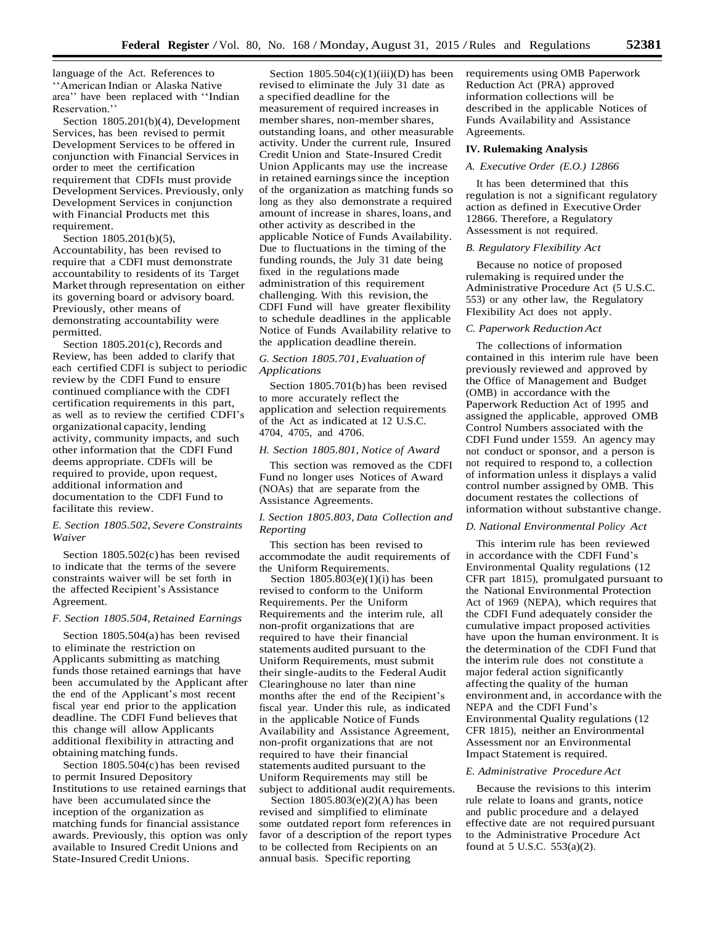language of the Act. References to ''American Indian or Alaska Native area'' have been replaced with ''Indian Reservation<sup>'</sup>

Section 1805.201(b)(4), Development Services, has been revised to permit Development Services to be offered in conjunction with Financial Servicesin order to meet the certification requirement that CDFIs must provide Development Services. Previously, only Development Services in conjunction with Financial Products met this requirement.

Section 1805.201(b)(5), Accountability, has been revised to require that a CDFI must demonstrate accountability to residents of its Target Market through representation on either its governing board or advisory board. Previously, other means of demonstrating accountability were permitted.

Section 1805.201(c), Records and Review, has been added to clarify that each certified CDFI is subject to periodic review by the CDFI Fund to ensure continued compliance with the CDFI certification requirements in this part, as well as to review the certified CDFI's organizational capacity, lending activity, community impacts, and such other information that the CDFI Fund deems appropriate. CDFIs will be required to provide, upon request, additional information and documentation to the CDFI Fund to facilitate this review.

## *E. Section 1805.502, Severe Constraints Waiver*

Section 1805.502(c) has been revised to indicate that the terms of the severe constraints waiver will be set forth in the affected Recipient's Assistance Agreement.

#### *F. Section 1805.504, Retained Earnings*

Section 1805.504(a) has been revised to eliminate the restriction on Applicants submitting as matching funds those retained earnings that have been accumulated by the Applicant after the end of the Applicant's most recent fiscal year end prior to the application deadline. The CDFI Fund believes that this change will allow Applicants additional flexibility in attracting and obtaining matching funds.

Section 1805.504(c) has been revised to permit Insured Depository Institutions to use retained earnings that have been accumulated since the inception of the organization as matching funds for financial assistance awards. Previously, this option was only available to Insured Credit Unions and State-Insured Credit Unions.

Section  $1805.504(c)(1)(iii)(D)$  has been revised to eliminate the July 31 date as a specified deadline for the measurement of required increases in member shares, non-member shares, outstanding loans, and other measurable activity. Under the current rule, Insured Credit Union and State-Insured Credit Union Applicants may use the increase in retained earnings since the inception of the organization as matching funds so long as they also demonstrate a required amount of increase in shares, loans, and other activity as described in the applicable Notice of Funds Availability. Due to fluctuations in the timing of the funding rounds, the July 31 date being fixed in the regulations made administration of this requirement challenging. With this revision, the CDFI Fund will have greater flexibility to schedule deadlines in the applicable Notice of Funds Availability relative to the application deadline therein.

### *G. Section 1805.701,Evaluation of Applications*

Section 1805.701(b) has been revised to more accurately reflect the application and selection requirements of the Act as indicated at 12 U.S.C. 4704, 4705, and 4706.

### *H. Section 1805.801, Notice of Award*

This section was removed as the CDFI Fund no longer uses Notices of Award (NOAs) that are separate from the Assistance Agreements.

### *I. Section 1805.803, Data Collection and Reporting*

This section has been revised to accommodate the audit requirements of the Uniform Requirements.

Section  $1805.\overline{8}03(e)(1)(i)$  has been revised to conform to the Uniform Requirements. Per the Uniform Requirements and the interim rule, all non-profit organizations that are required to have their financial statements audited pursuant to the Uniform Requirements, must submit their single-audits to the Federal Audit Clearinghouse no later than nine months after the end of the Recipient's fiscal year. Under this rule, as indicated in the applicable Notice of Funds Availability and Assistance Agreement, non-profit organizations that are not required to have their financial statements audited pursuant to the Uniform Requirements may still be subject to additional audit requirements.

Section 1805.803(e)(2)(A) has been revised and simplified to eliminate some outdated report form references in favor of a description of the report types to be collected from Recipients on an annual basis. Specific reporting

requirements using OMB Paperwork Reduction Act (PRA) approved information collections will be described in the applicable Notices of Funds Availability and Assistance Agreements.

#### **IV. Rulemaking Analysis**

### *A. Executive Order (E.O.) 12866*

It has been determined that this regulation is not a significant regulatory action as defined in Executive Order 12866. Therefore, a Regulatory Assessment is not required.

#### *B. Regulatory Flexibility Act*

Because no notice of proposed rulemaking is required under the Administrative Procedure Act (5 U.S.C. 553) or any other law, the Regulatory Flexibility Act does not apply.

#### *C. Paperwork ReductionAct*

The collections of information contained in this interim rule have been previously reviewed and approved by the Office of Management and Budget (OMB) in accordance with the Paperwork Reduction Act of 1995 and assigned the applicable, approved OMB Control Numbers associated with the CDFI Fund under 1559. An agency may not conduct or sponsor, and a person is not required to respond to, a collection of information unless it displays a valid control number assigned by OMB. This document restates the collections of information without substantive change.

#### *D. National Environmental Policy Act*

This interim rule has been reviewed in accordance with the CDFI Fund's Environmental Quality regulations (12 CFR part 1815), promulgated pursuant to the National Environmental Protection Act of 1969 (NEPA), which requires that the CDFI Fund adequately consider the cumulative impact proposed activities have upon the human environment. It is the determination of the CDFI Fund that the interim rule does not constitute a major federal action significantly affecting the quality of the human environment and, in accordance with the NEPA and the CDFI Fund's Environmental Quality regulations (12 CFR 1815), neither an Environmental Assessment nor an Environmental Impact Statement is required.

### *E. Administrative Procedure Act*

Because the revisions to this interim rule relate to loans and grants, notice and public procedure and a delayed effective date are not required pursuant to the Administrative Procedure Act found at 5 U.S.C. 553(a)(2).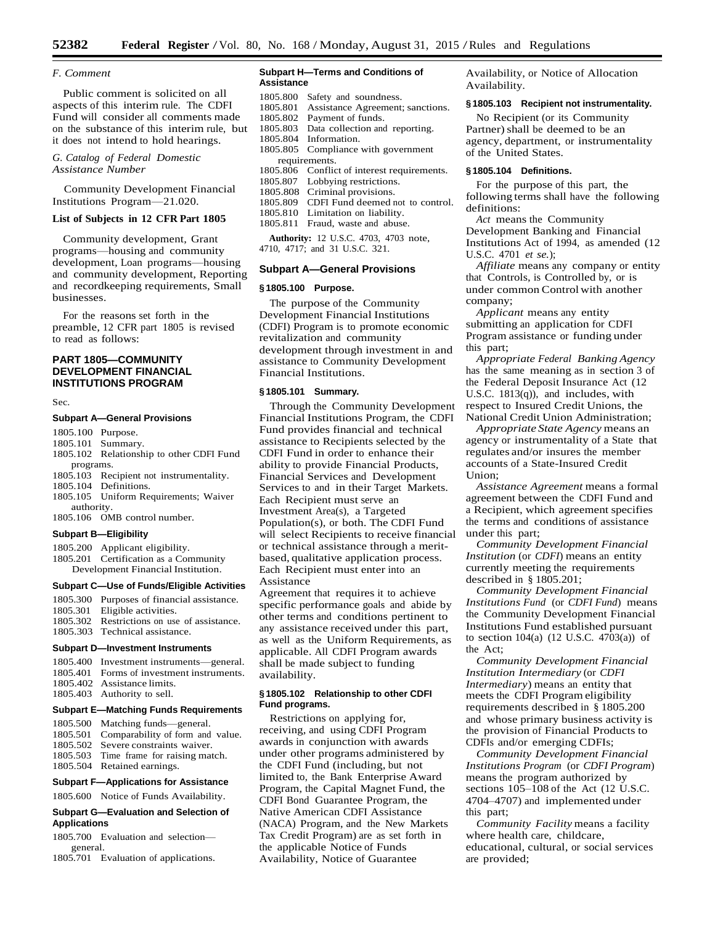#### *F. Comment*

Public comment is solicited on all aspects of this interim rule. The CDFI Fund will consider all comments made on the substance of this interim rule, but it does not intend to hold hearings.

## *G. Catalog of Federal Domestic Assistance Number*

Community Development Financial Institutions Program—21.020.

### **List of Subjects in 12 CFR Part 1805**

Community development, Grant programs—housing and community development, Loan programs—housing and community development, Reporting and recordkeeping requirements, Small businesses.

For the reasons set forth in the preamble, 12 CFR part 1805 is revised to read as follows:

## **PART 1805—COMMUNITY DEVELOPMENT FINANCIAL INSTITUTIONS PROGRAM**

#### Sec.

#### **Subpart A—General Provisions**

- 1805.100 Purpose.
- 1805.101 Summary.
- 1805.102 Relationship to other CDFI Fund programs.
- 1805.103 Recipient not instrumentality.
- 1805.104 Definitions.
- 1805.105 Uniform Requirements; Waiver
- authority. 1805.106 OMB control number.

### **Subpart B—Eligibility**

- 1805.200 Applicant eligibility.
- 1805.201 Certification as a Community Development Financial Institution.

#### **Subpart C—Use of Funds/Eligible Activities**

| 1805.300 Purposes of financial assistance.  |
|---------------------------------------------|
| 1805.301 Eligible activities.               |
| 1805.302 Restrictions on use of assistance. |
| 1805.303 Technical assistance.              |
|                                             |

#### **Subpart D—Investment Instruments**

| Subnart E—Matching Eunde Poquiromente |                                           |  |
|---------------------------------------|-------------------------------------------|--|
|                                       | 1805.403 Authority to sell.               |  |
|                                       | 1805.402 Assistance limits.               |  |
|                                       | 1805.401 Forms of investment instruments. |  |
|                                       | 1805.400 Investment instruments—general.  |  |

### **Subpart E—Matching Funds Requirements**

1805.500 Matching funds—general. 1805.501 Comparability of form and value. 1805.502 Severe constraints waiver. 1805.503 Time frame for raising match. 1805.504 Retained earnings.

### **Subpart F—Applications for Assistance**

1805.600 Notice of Funds Availability.

### **Subpart G—Evaluation and Selection of Applications**

1805.700 Evaluation and selection general.

1805.701 Evaluation of applications.

#### **Subpart H—Terms and Conditions of Assistance**

- 1805.800 Safety and soundness. 1805.801 Assistance Agreement; sanctions.
- 1805.802 Payment of funds.
- 1805.803 Data collection and reporting. 1805.804 Information.
- 1805.805 Compliance with government
- requirements.
- 1805.806 Conflict of interest requirements.
- 1805.807 Lobbying restrictions.
- 1805.808 Criminal provisions.
- 1805.809 CDFI Fund deemed not to control.
- 1805.810 Limitation on liability.
- 1805.811 Fraud, waste and abuse.

**Authority:** 12 U.S.C. 4703, 4703 note, 4710, 4717; and 31 U.S.C. 321.

#### **Subpart A—General Provisions**

#### **§ 1805.100 Purpose.**

The purpose of the Community Development Financial Institutions (CDFI) Program is to promote economic revitalization and community development through investment in and assistance to Community Development Financial Institutions.

#### **§ 1805.101 Summary.**

Through the Community Development Financial Institutions Program, the CDFI Fund provides financial and technical assistance to Recipients selected by the CDFI Fund in order to enhance their ability to provide Financial Products, Financial Services and Development Services to and in their Target Markets. Each Recipient must serve an Investment Area(s), a Targeted Population(s), or both. The CDFI Fund will select Recipients to receive financial or technical assistance through a meritbased, qualitative application process. Each Recipient must enter into an Assistance

Agreement that requires it to achieve specific performance goals and abide by other terms and conditions pertinent to any assistance received under this part, as well as the Uniform Requirements, as applicable. All CDFI Program awards shall be made subject to funding availability.

### **§ 1805.102 Relationship to other CDFI Fund programs.**

Restrictions on applying for, receiving, and using CDFI Program awards in conjunction with awards under other programs administered by the CDFI Fund (including, but not limited to, the Bank Enterprise Award Program, the Capital Magnet Fund, the CDFI Bond Guarantee Program, the Native American CDFI Assistance (NACA) Program, and the New Markets Tax Credit Program) are as set forth in the applicable Notice of Funds Availability, Notice of Guarantee

Availability, or Notice of Allocation Availability.

#### **§ 1805.103 Recipient not instrumentality.**

No Recipient (or its Community Partner) shall be deemed to be an agency, department, or instrumentality of the United States.

#### **§ 1805.104 Definitions.**

For the purpose of this part, the following terms shall have the following definitions:

*Act* means the Community Development Banking and Financial Institutions Act of 1994, as amended (12 U.S.C. 4701 *et se.*);

*Affiliate* means any company or entity that Controls, is Controlled by, or is under common Control with another company;

*Applicant* means any entity submitting an application for CDFI Program assistance or funding under this part;

*Appropriate Federal Banking Agency* has the same meaning as in section 3 of the Federal Deposit Insurance Act (12 U.S.C. 1813(q)), and includes, with respect to Insured Credit Unions, the National Credit Union Administration;

*Appropriate State Agency* means an agency or instrumentality of a State that regulates and/or insures the member accounts of a State-Insured Credit Union;

*Assistance Agreement* means a formal agreement between the CDFI Fund and a Recipient, which agreement specifies the terms and conditions of assistance under this part;

*Community Development Financial Institution* (or *CDFI*) means an entity currently meeting the requirements described in § 1805.201;

*Community Development Financial Institutions Fund* (or *CDFI Fund*) means the Community Development Financial Institutions Fund established pursuant to section 104(a) (12 U.S.C. 4703(a)) of the Act;

*Community Development Financial Institution Intermediary* (or *CDFI Intermediary*) means an entity that meets the CDFI Program eligibility requirements described in § 1805.200 and whose primary business activity is the provision of Financial Products to CDFIs and/or emerging CDFIs;

*Community Development Financial Institutions Program* (or *CDFI Program*) means the program authorized by sections 105–108 of the Act (12 U.S.C. 4704–4707) and implemented under this part;

*Community Facility* means a facility where health care, childcare, educational, cultural, or social services are provided;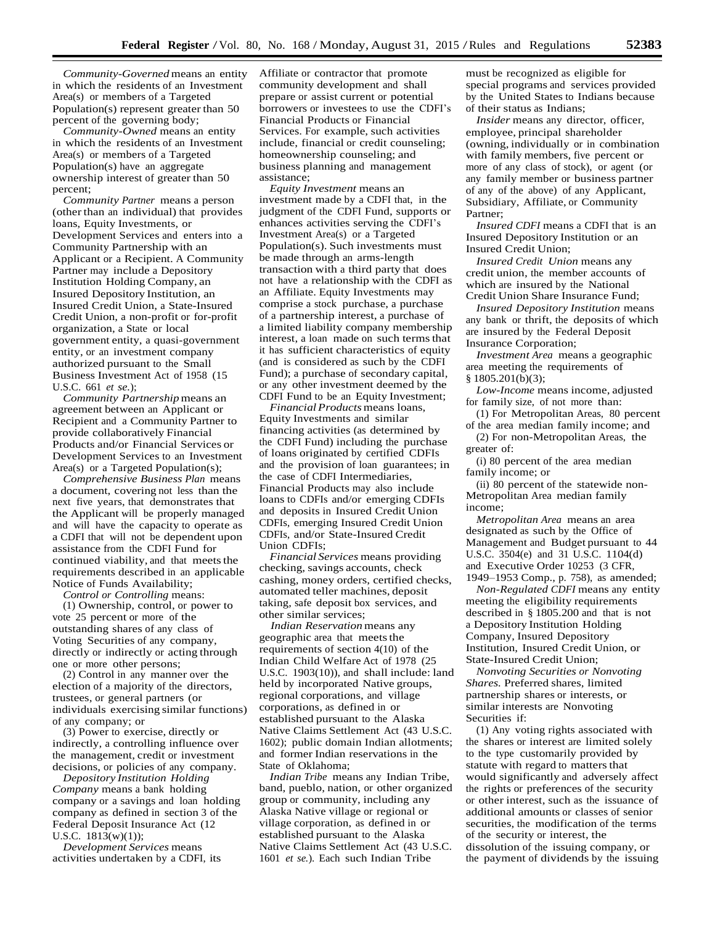*Community-Governed* means an entity in which the residents of an Investment Area(s) or members of a Targeted Population(s) represent greater than 50 percent of the governing body;

*Community-Owned* means an entity in which the residents of an Investment Area(s) or members of a Targeted Population(s) have an aggregate ownership interest of greater than 50 percent;

*Community Partner* means a person (other than an individual) that provides loans, Equity Investments, or Development Services and enters into a Community Partnership with an Applicant or a Recipient. A Community Partner may include a Depository Institution Holding Company, an Insured Depository Institution, an Insured Credit Union, a State-Insured Credit Union, a non-profit or for-profit organization, a State or local government entity, a quasi-government entity, or an investment company authorized pursuant to the Small Business Investment Act of 1958 (15 U.S.C. 661 *et se.*);

*Community Partnership*means an agreement between an Applicant or Recipient and a Community Partner to provide collaboratively Financial Products and/or Financial Services or Development Services to an Investment Area(s) or a Targeted Population(s);

*Comprehensive Business Plan* means a document, covering not less than the next five years, that demonstrates that the Applicant will be properly managed and will have the capacity to operate as a CDFI that will not be dependent upon assistance from the CDFI Fund for continued viability, and that meets the requirements described in an applicable Notice of Funds Availability;

*Control or Controlling* means: (1) Ownership, control, or power to vote 25 percent or more of the outstanding shares of any class of Voting Securities of any company, directly or indirectly or acting through one or more other persons;

(2) Control in any manner over the election of a majority of the directors, trustees, or general partners (or individuals exercising similar functions) of any company; or

(3) Power to exercise, directly or indirectly, a controlling influence over the management, credit or investment decisions, or policies of any company.

*Depository Institution Holding Company* means a bank holding company or a savings and loan holding company as defined in section 3 of the Federal Deposit Insurance Act (12 U.S.C. 1813(w)(1));

*Development Services* means activities undertaken by a CDFI, its Affiliate or contractor that promote community development and shall prepare or assist current or potential borrowers or investees to use the CDFI's Financial Products or Financial Services. For example, such activities include, financial or credit counseling; homeownership counseling; and business planning and management assistance;

*Equity Investment* means an investment made by a CDFI that, in the judgment of the CDFI Fund, supports or enhances activities serving the CDFI's Investment Area(s) or a Targeted Population(s). Such investments must be made through an arms-length transaction with a third party that does not have a relationship with the CDFI as an Affiliate. Equity Investments may comprise a stock purchase, a purchase of a partnership interest, a purchase of a limited liability company membership interest, a loan made on such terms that it has sufficient characteristics of equity (and is considered as such by the CDFI Fund); a purchase of secondary capital, or any other investment deemed by the CDFI Fund to be an Equity Investment;

*FinancialProducts* means loans, Equity Investments and similar financing activities (as determined by the CDFI Fund) including the purchase of loans originated by certified CDFIs and the provision of loan guarantees; in the case of CDFI Intermediaries, Financial Products may also include loans to CDFIs and/or emerging CDFIs and deposits in Insured Credit Union CDFIs, emerging Insured Credit Union CDFIs, and/or State-Insured Credit Union CDFIs;

*Financial Services* means providing checking, savings accounts, check cashing, money orders, certified checks, automated teller machines, deposit taking, safe deposit box services, and other similar services;

*Indian Reservation* means any geographic area that meets the requirements of section 4(10) of the Indian Child Welfare Act of 1978 (25 U.S.C. 1903(10)), and shall include: land held by incorporated Native groups, regional corporations, and village corporations, as defined in or established pursuant to the Alaska Native Claims Settlement Act (43 U.S.C. 1602); public domain Indian allotments; and former Indian reservations in the State of Oklahoma;

*Indian Tribe* means any Indian Tribe, band, pueblo, nation, or other organized group or community, including any Alaska Native village or regional or village corporation, as defined in or established pursuant to the Alaska Native Claims Settlement Act (43 U.S.C. 1601 *et se.*). Each such Indian Tribe

must be recognized as eligible for special programs and services provided by the United States to Indians because of their status as Indians;

*Insider* means any director, officer, employee, principal shareholder (owning, individually or in combination with family members, five percent or more of any class of stock), or agent (or any family member or business partner of any of the above) of any Applicant, Subsidiary, Affiliate, or Community Partner;

*Insured CDFI* means a CDFI that is an Insured Depository Institution or an Insured Credit Union;

*Insured Credit Union* means any credit union, the member accounts of which are insured by the National Credit Union Share Insurance Fund;

*Insured Depository Institution* means any bank or thrift, the deposits of which are insured by the Federal Deposit Insurance Corporation;

*Investment Area* means a geographic area meeting the requirements of § 1805.201(b)(3);

*Low-Income* means income, adjusted for family size, of not more than:

(1) For Metropolitan Areas, 80 percent of the area median family income; and

(2) For non-Metropolitan Areas, the greater of:

(i) 80 percent of the area median family income; or

(ii) 80 percent of the statewide non-Metropolitan Area median family income;

*Metropolitan Area* means an area designated as such by the Office of Management and Budget pursuant to 44 U.S.C. 3504(e) and 31 U.S.C. 1104(d) and Executive Order 10253 (3 CFR, 1949–1953 Comp., p. 758), as amended;

*Non-Regulated CDFI* means any entity meeting the eligibility requirements described in § 1805.200 and that is not a Depository Institution Holding Company, Insured Depository Institution, Insured Credit Union, or State-Insured Credit Union;

*Nonvoting Securities or Nonvoting Shares.* Preferred shares, limited partnership shares or interests, or similar interests are Nonvoting Securities if:

(1) Any voting rights associated with the shares or interest are limited solely to the type customarily provided by statute with regard to matters that would significantly and adversely affect the rights or preferences of the security or other interest, such as the issuance of additional amounts or classes of senior securities, the modification of the terms of the security or interest, the dissolution of the issuing company, or the payment of dividends by the issuing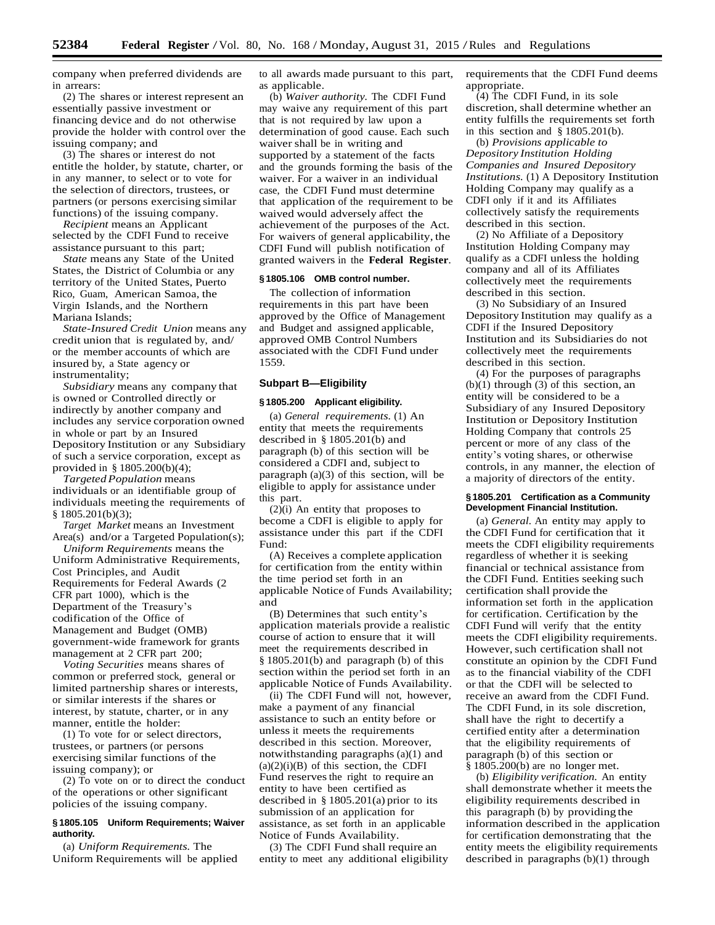company when preferred dividends are in arrears:

(2) The shares or interest represent an essentially passive investment or financing device and do not otherwise provide the holder with control over the issuing company; and

(3) The shares or interest do not entitle the holder, by statute, charter, or in any manner, to select or to vote for the selection of directors, trustees, or partners (or persons exercising similar functions) of the issuing company.

*Recipient* means an Applicant selected by the CDFI Fund to receive assistance pursuant to this part;

*State* means any State of the United States, the District of Columbia or any territory of the United States, Puerto Rico, Guam, American Samoa, the Virgin Islands, and the Northern Mariana Islands;

*State-Insured Credit Union* means any credit union that is regulated by, and/ or the member accounts of which are insured by, a State agency or instrumentality;

*Subsidiary* means any company that is owned or Controlled directly or indirectly by another company and includes any service corporation owned in whole or part by an Insured Depository Institution or any Subsidiary of such a service corporation, except as provided in § 1805.200(b)(4);

*Targeted Population* means individuals or an identifiable group of individuals meeting the requirements of  $§ 1805.201(b)(3);$ 

*Target Market* means an Investment Area(s) and/or a Targeted Population(s);

*Uniform Requirements* means the Uniform Administrative Requirements, Cost Principles, and Audit Requirements for Federal Awards (2 CFR part 1000), which is the Department of the Treasury's codification of the Office of Management and Budget (OMB) government-wide framework for grants management at 2 CFR part 200;

*Voting Securities* means shares of common or preferred stock, general or limited partnership shares or interests, or similar interests if the shares or interest, by statute, charter, or in any manner, entitle the holder:

(1) To vote for or select directors, trustees, or partners (or persons exercising similar functions of the issuing company); or

(2) To vote on or to direct the conduct of the operations or other significant policies of the issuing company.

### **§ 1805.105 Uniform Requirements; Waiver authority.**

(a) *Uniform Requirements.* The Uniform Requirements will be applied to all awards made pursuant to this part, as applicable.

(b) *Waiver authority.* The CDFI Fund may waive any requirement of this part that is not required by law upon a determination of good cause. Each such waiver shall be in writing and supported by a statement of the facts and the grounds forming the basis of the waiver. For a waiver in an individual case, the CDFI Fund must determine that application of the requirement to be waived would adversely affect the achievement of the purposes of the Act. For waivers of general applicability, the CDFI Fund will publish notification of granted waivers in the **Federal Register**.

#### **§ 1805.106 OMB control number.**

The collection of information requirements in this part have been approved by the Office of Management and Budget and assigned applicable, approved OMB Control Numbers associated with the CDFI Fund under 1559.

#### **Subpart B—Eligibility**

#### **§ 1805.200 Applicant eligibility.**

(a) *General requirements.* (1) An entity that meets the requirements described in § 1805.201(b) and paragraph (b) of this section will be considered a CDFI and, subject to paragraph (a)(3) of this section, will be eligible to apply for assistance under this part.

 $(2)(i)$  An entity that proposes to become a CDFI is eligible to apply for assistance under this part if the CDFI Fund:

(A) Receives a complete application for certification from the entity within the time period set forth in an applicable Notice of Funds Availability; and

(B) Determines that such entity's application materials provide a realistic course of action to ensure that it will meet the requirements described in § 1805.201(b) and paragraph (b) of this section within the period set forth in an applicable Notice of Funds Availability.

(ii) The CDFI Fund will not, however, make a payment of any financial assistance to such an entity before or unless it meets the requirements described in this section. Moreover, notwithstanding paragraphs (a)(1) and  $(a)(2)(i)(B)$  of this section, the CDFI Fund reserves the right to require an entity to have been certified as described in § 1805.201(a) prior to its submission of an application for assistance, as set forth in an applicable Notice of Funds Availability.

(3) The CDFI Fund shall require an entity to meet any additional eligibility requirements that the CDFI Fund deems appropriate.

(4) The CDFI Fund, in its sole discretion, shall determine whether an entity fulfills the requirements set forth in this section and § 1805.201(b).

(b) *Provisions applicable to Depository Institution Holding Companies and Insured Depository Institutions.* (1) A Depository Institution Holding Company may qualify as a CDFI only if it and its Affiliates collectively satisfy the requirements described in this section.

(2) No Affiliate of a Depository Institution Holding Company may qualify as a CDFI unless the holding company and all of its Affiliates collectively meet the requirements described in this section.

(3) No Subsidiary of an Insured Depository Institution may qualify as a CDFI if the Insured Depository Institution and its Subsidiaries do not collectively meet the requirements described in this section.

(4) For the purposes of paragraphs  $(b)(1)$  through  $(3)$  of this section, an entity will be considered to be a Subsidiary of any Insured Depository Institution or Depository Institution Holding Company that controls 25 percent or more of any class of the entity's voting shares, or otherwise controls, in any manner, the election of a majority of directors of the entity.

#### **§ 1805.201 Certification as a Community Development Financial Institution.**

(a) *General.* An entity may apply to the CDFI Fund for certification that it meets the CDFI eligibility requirements regardless of whether it is seeking financial or technical assistance from the CDFI Fund. Entities seeking such certification shall provide the information set forth in the application for certification. Certification by the CDFI Fund will verify that the entity meets the CDFI eligibility requirements. However, such certification shall not constitute an opinion by the CDFI Fund as to the financial viability of the CDFI or that the CDFI will be selected to receive an award from the CDFI Fund. The CDFI Fund, in its sole discretion, shall have the right to decertify a certified entity after a determination that the eligibility requirements of paragraph (b) of this section or § 1805.200(b) are no longer met.

(b) *Eligibility verification.* An entity shall demonstrate whether it meets the eligibility requirements described in this paragraph (b) by providing the information described in the application for certification demonstrating that the entity meets the eligibility requirements described in paragraphs (b)(1) through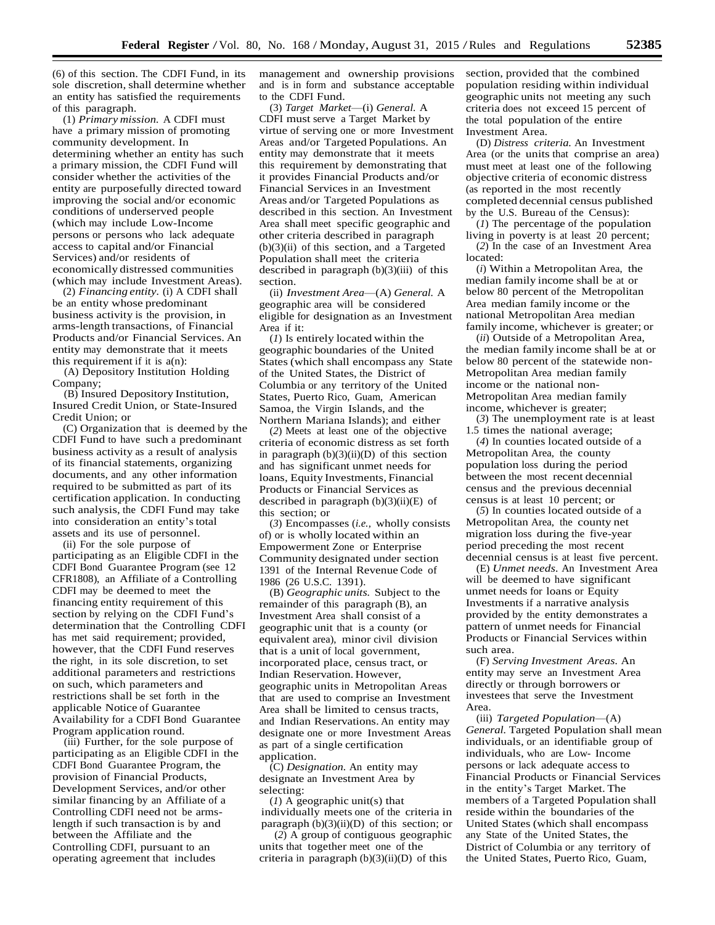(6) of this section. The CDFI Fund, in its sole discretion, shall determine whether an entity has satisfied the requirements of this paragraph.

(1) *Primary mission.* A CDFI must have a primary mission of promoting community development. In determining whether an entity has such a primary mission, the CDFI Fund will consider whether the activities of the entity are purposefully directed toward improving the social and/or economic conditions of underserved people (which may include Low-Income persons or persons who lack adequate access to capital and/or Financial Services) and/or residents of economically distressed communities (which may include Investment Areas).

(2) *Financing entity.* (i) A CDFI shall be an entity whose predominant business activity is the provision, in arms-length transactions, of Financial Products and/or Financial Services. An entity may demonstrate that it meets this requirement if it is  $a(n)$ :

(A) Depository Institution Holding Company;

(B) Insured Depository Institution, Insured Credit Union, or State-Insured Credit Union; or

(C) Organization that is deemed by the CDFI Fund to have such a predominant business activity as a result of analysis of its financial statements, organizing documents, and any other information required to be submitted as part of its certification application. In conducting such analysis, the CDFI Fund may take into consideration an entity'stotal assets and its use of personnel.

(ii) For the sole purpose of participating as an Eligible CDFI in the CDFI Bond Guarantee Program (see 12 CFR1808), an Affiliate of a Controlling CDFI may be deemed to meet the financing entity requirement of this section by relying on the CDFI Fund's determination that the Controlling CDFI has met said requirement; provided, however, that the CDFI Fund reserves the right, in its sole discretion, to set additional parameters and restrictions on such, which parameters and restrictions shall be set forth in the applicable Notice of Guarantee Availability for a CDFI Bond Guarantee Program application round.

(iii) Further, for the sole purpose of participating as an Eligible CDFI in the CDFI Bond Guarantee Program, the provision of Financial Products, Development Services, and/or other similar financing by an Affiliate of a Controlling CDFI need not be armslength if such transaction is by and between the Affiliate and the Controlling CDFI, pursuant to an operating agreement that includes

management and ownership provisions and is in form and substance acceptable to the CDFI Fund.

(3) *Target Market*—(i) *General.* A CDFI must serve a Target Market by virtue of serving one or more Investment Areas and/or Targeted Populations. An entity may demonstrate that it meets this requirement by demonstrating that it provides Financial Products and/or Financial Services in an Investment Areas and/or Targeted Populations as described in this section. An Investment Area shall meet specific geographic and other criteria described in paragraph  $(b)(3)(ii)$  of this section, and a Targeted Population shall meet the criteria described in paragraph  $(b)(3)(iii)$  of this section.

(ii) *Investment Area*—(A) *General.* A geographic area will be considered eligible for designation as an Investment Area if it:

(*1*) Is entirely located within the geographic boundaries of the United States (which shall encompass any State of the United States, the District of Columbia or any territory of the United States, Puerto Rico, Guam, American Samoa, the Virgin Islands, and the Northern Mariana Islands); and either

(*2*) Meets at least one of the objective criteria of economic distress as set forth in paragraph  $(b)(3)(ii)(D)$  of this section and has significant unmet needs for loans, Equity Investments, Financial Products or Financial Services as described in paragraph  $(b)(3)(ii)(E)$  of this section; or

(*3*) Encompasses (*i.e.,* wholly consists of) or is wholly located within an Empowerment Zone or Enterprise Community designated under section 1391 of the Internal Revenue Code of 1986 (26 U.S.C. 1391).

(B) *Geographic units.* Subject to the remainder of this paragraph (B), an Investment Area shall consist of a geographic unit that is a county (or equivalent area), minor civil division that is a unit of local government, incorporated place, census tract, or Indian Reservation. However, geographic units in Metropolitan Areas that are used to comprise an Investment Area shall be limited to census tracts, and Indian Reservations. An entity may designate one or more Investment Areas as part of a single certification application.

(C) *Designation.* An entity may designate an Investment Area by selecting:

(*1*) A geographic unit(s) that individually meets one of the criteria in paragraph  $(b)(3)(ii)(D)$  of this section; or

(*2*) A group of contiguous geographic units that together meet one of the criteria in paragraph  $(b)(3)(ii)(D)$  of this

section, provided that the combined population residing within individual geographic units not meeting any such criteria does not exceed 15 percent of the total population of the entire Investment Area.

(D) *Distress criteria.* An Investment Area (or the units that comprise an area) must meet at least one of the following objective criteria of economic distress (as reported in the most recently completed decennial census published by the U.S. Bureau of the Census):

(*1*) The percentage of the population living in poverty is at least 20 percent; (*2*) In the case of an Investment Area located:

(*i*) Within a Metropolitan Area, the median family income shall be at or below 80 percent of the Metropolitan Area median family income or the national Metropolitan Area median family income, whichever is greater; or

(*ii*) Outside of a Metropolitan Area, the median family income shall be at or below 80 percent of the statewide non-Metropolitan Area median family income or the national non-Metropolitan Area median family income, whichever is greater;

(*3*) The unemployment rate is at least 1.5 times the national average;

(*4*) In counties located outside of a Metropolitan Area, the county population loss during the period between the most recent decennial census and the previous decennial census is at least 10 percent; or

(*5*) In counties located outside of a Metropolitan Area, the county net migration loss during the five-year period preceding the most recent decennial census is at least five percent.

(E) *Unmet needs.* An Investment Area will be deemed to have significant unmet needs for loans or Equity Investments if a narrative analysis provided by the entity demonstrates a pattern of unmet needs for Financial Products or Financial Services within such area.

(F) *Serving Investment Areas.* An entity may serve an Investment Area directly or through borrowers or investees that serve the Investment Area.

(iii) *Targeted Population*—(A) *General.* Targeted Population shall mean individuals, or an identifiable group of individuals, who are Low- Income persons or lack adequate access to Financial Products or Financial Services in the entity's Target Market. The members of a Targeted Population shall reside within the boundaries of the United States (which shall encompass any State of the United States, the District of Columbia or any territory of the United States, Puerto Rico, Guam,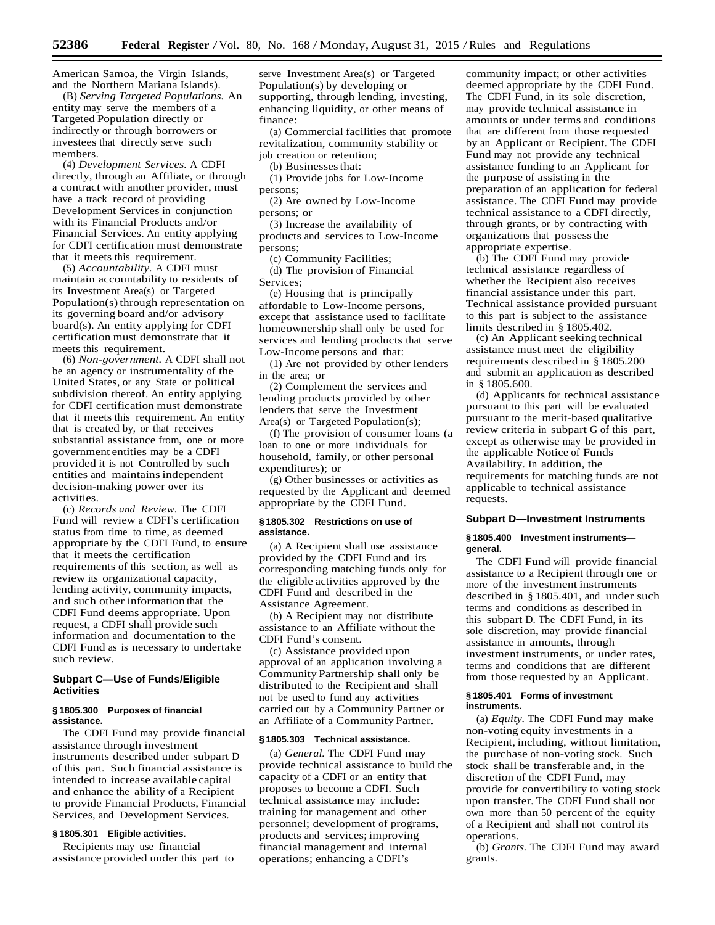American Samoa, the Virgin Islands, and the Northern Mariana Islands).

(B) *Serving Targeted Populations.* An entity may serve the members of a Targeted Population directly or indirectly or through borrowers or investees that directly serve such members.

(4) *Development Services.* A CDFI directly, through an Affiliate, or through a contract with another provider, must have a track record of providing Development Services in conjunction with its Financial Products and/or Financial Services. An entity applying for CDFI certification must demonstrate that it meets this requirement.

(5) *Accountability.* A CDFI must maintain accountability to residents of its Investment Area(s) or Targeted Population(s) through representation on its governing board and/or advisory board(s). An entity applying for CDFI certification must demonstrate that it meets this requirement.

(6) *Non-government.* A CDFI shall not be an agency or instrumentality of the United States, or any State or political subdivision thereof. An entity applying for CDFI certification must demonstrate that it meets this requirement. An entity that is created by, or that receives substantial assistance from, one or more government entities may be a CDFI provided it is not Controlled by such entities and maintainsindependent decision-making power over its activities.

(c) *Records and Review.* The CDFI Fund will review a CDFI's certification status from time to time, as deemed appropriate by the CDFI Fund, to ensure that it meets the certification requirements of this section, as well as review its organizational capacity, lending activity, community impacts, and such other information that the CDFI Fund deems appropriate. Upon request, a CDFI shall provide such information and documentation to the CDFI Fund as is necessary to undertake such review.

### **Subpart C—Use of Funds/Eligible Activities**

### **§ 1805.300 Purposes of financial assistance.**

The CDFI Fund may provide financial assistance through investment instruments described under subpart D of this part. Such financial assistance is intended to increase available capital and enhance the ability of a Recipient to provide Financial Products, Financial Services, and Development Services.

## **§ 1805.301 Eligible activities.**

Recipients may use financial assistance provided under this part to serve Investment Area(s) or Targeted Population(s) by developing or supporting, through lending, investing, enhancing liquidity, or other means of finance:

(a) Commercial facilities that promote revitalization, community stability or job creation or retention;

(b) Businesses that:

(1) Provide jobs for Low-Income persons;

(2) Are owned by Low-Income persons; or

(3) Increase the availability of products and services to Low-Income persons;

(c) Community Facilities; (d) The provision of Financial Services;

(e) Housing that is principally affordable to Low-Income persons, except that assistance used to facilitate homeownership shall only be used for services and lending products that serve Low-Income persons and that:

(1) Are not provided by other lenders in the area; or

(2) Complement the services and lending products provided by other lenders that serve the Investment Area(s) or Targeted Population(s);

(f) The provision of consumer loans (a loan to one or more individuals for household, family, or other personal expenditures); or

(g) Other businesses or activities as requested by the Applicant and deemed appropriate by the CDFI Fund.

#### **§ 1805.302 Restrictions on use of assistance.**

(a) A Recipient shall use assistance provided by the CDFI Fund and its corresponding matching funds only for the eligible activities approved by the CDFI Fund and described in the Assistance Agreement.

(b) A Recipient may not distribute assistance to an Affiliate without the CDFI Fund's consent.

(c) Assistance provided upon approval of an application involving a Community Partnership shall only be distributed to the Recipient and shall not be used to fund any activities carried out by a Community Partner or an Affiliate of a Community Partner.

### **§ 1805.303 Technical assistance.**

(a) *General.* The CDFI Fund may provide technical assistance to build the capacity of a CDFI or an entity that proposes to become a CDFI. Such technical assistance may include: training for management and other personnel; development of programs, products and services; improving financial management and internal operations; enhancing a CDFI's

community impact; or other activities deemed appropriate by the CDFI Fund. The CDFI Fund, in its sole discretion, may provide technical assistance in amounts or under terms and conditions that are different from those requested by an Applicant or Recipient. The CDFI Fund may not provide any technical assistance funding to an Applicant for the purpose of assisting in the preparation of an application for federal assistance. The CDFI Fund may provide technical assistance to a CDFI directly, through grants, or by contracting with organizations that possessthe appropriate expertise.

(b) The CDFI Fund may provide technical assistance regardless of whether the Recipient also receives financial assistance under this part. Technical assistance provided pursuant to this part is subject to the assistance limits described in § 1805.402.

(c) An Applicant seeking technical assistance must meet the eligibility requirements described in § 1805.200 and submit an application as described in § 1805.600.

(d) Applicants for technical assistance pursuant to this part will be evaluated pursuant to the merit-based qualitative review criteria in subpart G of this part, except as otherwise may be provided in the applicable Notice of Funds Availability. In addition, the requirements for matching funds are not applicable to technical assistance requests.

#### **Subpart D—Investment Instruments**

#### **§ 1805.400 Investment instruments general.**

The CDFI Fund will provide financial assistance to a Recipient through one or more of the investment instruments described in § 1805.401, and under such terms and conditions as described in this subpart D. The CDFI Fund, in its sole discretion, may provide financial assistance in amounts, through investment instruments, or under rates, terms and conditions that are different from those requested by an Applicant.

#### **§ 1805.401 Forms of investment instruments.**

(a) *Equity.* The CDFI Fund may make non-voting equity investments in a Recipient, including, without limitation, the purchase of non-voting stock. Such stock shall be transferable and, in the discretion of the CDFI Fund, may provide for convertibility to voting stock upon transfer. The CDFI Fund shall not own more than 50 percent of the equity of a Recipient and shall not control its operations.

(b) *Grants.* The CDFI Fund may award grants.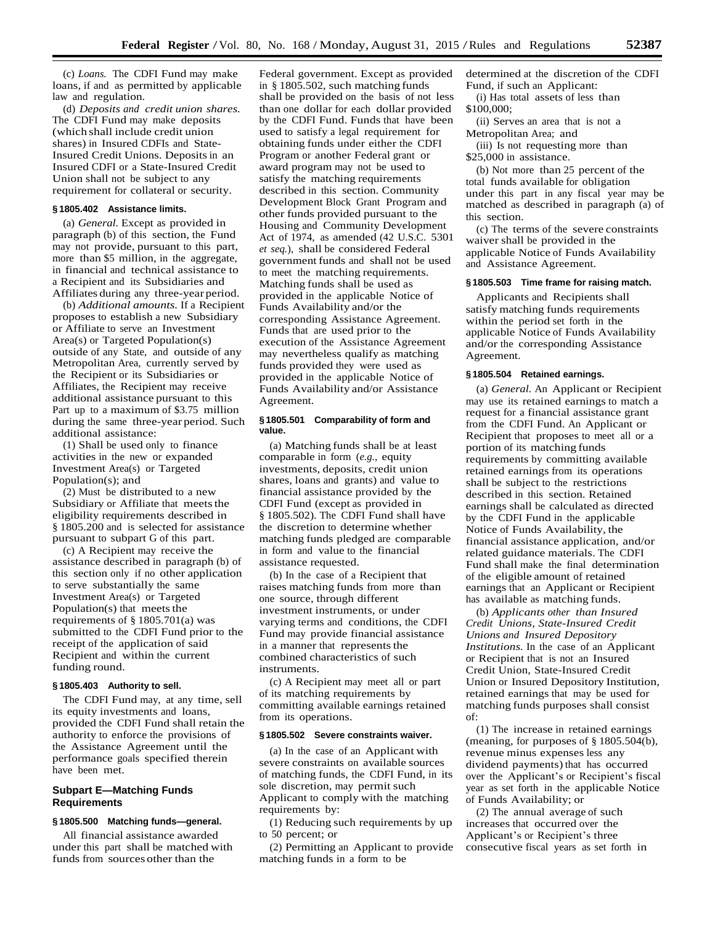(c) *Loans.* The CDFI Fund may make loans, if and as permitted by applicable law and regulation.

(d) *Deposits and credit union shares.*  The CDFI Fund may make deposits (which shall include credit union shares) in Insured CDFIs and State-Insured Credit Unions. Depositsin an Insured CDFI or a State-Insured Credit Union shall not be subject to any requirement for collateral or security.

#### **§ 1805.402 Assistance limits.**

(a) *General.* Except as provided in paragraph (b) of this section, the Fund may not provide, pursuant to this part, more than \$5 million, in the aggregate, in financial and technical assistance to a Recipient and its Subsidiaries and Affiliates during any three-year period.

(b) *Additional amounts.* If a Recipient proposes to establish a new Subsidiary or Affiliate to serve an Investment Area(s) or Targeted Population(s) outside of any State, and outside of any Metropolitan Area, currently served by the Recipient or its Subsidiaries or Affiliates, the Recipient may receive additional assistance pursuant to this Part up to a maximum of \$3.75 million during the same three-year period. Such additional assistance:

(1) Shall be used only to finance activities in the new or expanded Investment Area(s) or Targeted Population(s); and

(2) Must be distributed to a new Subsidiary or Affiliate that meets the eligibility requirements described in § 1805.200 and is selected for assistance pursuant to subpart G of this part.

(c) A Recipient may receive the assistance described in paragraph (b) of this section only if no other application to serve substantially the same Investment Area(s) or Targeted Population $(s)$  that meets the requirements of § 1805.701(a) was submitted to the CDFI Fund prior to the receipt of the application of said Recipient and within the current funding round.

### **§ 1805.403 Authority to sell.**

The CDFI Fund may, at any time, sell its equity investments and loans, provided the CDFI Fund shall retain the authority to enforce the provisions of the Assistance Agreement until the performance goals specified therein have been met.

### **Subpart E—Matching Funds Requirements**

## **§ 1805.500 Matching funds—general.**

All financial assistance awarded under this part shall be matched with funds from sources other than the

Federal government. Except as provided in § 1805.502, such matching funds shall be provided on the basis of not less than one dollar for each dollar provided by the CDFI Fund. Funds that have been used to satisfy a legal requirement for obtaining funds under either the CDFI Program or another Federal grant or award program may not be used to satisfy the matching requirements described in this section. Community Development Block Grant Program and other funds provided pursuant to the Housing and Community Development Act of 1974, as amended (42 U.S.C. 5301 *et seq.*), shall be considered Federal government funds and shall not be used to meet the matching requirements. Matching funds shall be used as provided in the applicable Notice of Funds Availability and/or the corresponding Assistance Agreement. Funds that are used prior to the execution of the Assistance Agreement may nevertheless qualify as matching funds provided they were used as provided in the applicable Notice of Funds Availability and/or Assistance Agreement.

#### **§ 1805.501 Comparability of form and value.**

(a) Matching funds shall be at least comparable in form (*e.g.,* equity investments, deposits, credit union shares, loans and grants) and value to financial assistance provided by the CDFI Fund (except as provided in § 1805.502). The CDFI Fund shall have the discretion to determine whether matching funds pledged are comparable in form and value to the financial assistance requested.

(b) In the case of a Recipient that raises matching funds from more than one source, through different investment instruments, or under varying terms and conditions, the CDFI Fund may provide financial assistance in a manner that represents the combined characteristics of such instruments.

(c) A Recipient may meet all or part of its matching requirements by committing available earnings retained from its operations.

#### **§ 1805.502 Severe constraints waiver.**

(a) In the case of an Applicant with severe constraints on available sources of matching funds, the CDFI Fund, in its sole discretion, may permit such Applicant to comply with the matching requirements by:

(1) Reducing such requirements by up to 50 percent; or

(2) Permitting an Applicant to provide matching funds in a form to be

determined at the discretion of the CDFI Fund, if such an Applicant:

(i) Has total assets of less than \$100,000;

(ii) Serves an area that is not a Metropolitan Area; and

(iii) Is not requesting more than \$25,000 in assistance.

(b) Not more than 25 percent of the total funds available for obligation under this part in any fiscal year may be matched as described in paragraph (a) of this section.

(c) The terms of the severe constraints waiver shall be provided in the applicable Notice of Funds Availability and Assistance Agreement.

#### **§ 1805.503 Time frame for raising match.**

Applicants and Recipients shall satisfy matching funds requirements within the period set forth in the applicable Notice of Funds Availability and/or the corresponding Assistance Agreement.

#### **§ 1805.504 Retained earnings.**

(a) *General.* An Applicant or Recipient may use its retained earnings to match a request for a financial assistance grant from the CDFI Fund. An Applicant or Recipient that proposes to meet all or a portion of its matching funds requirements by committing available retained earnings from its operations shall be subject to the restrictions described in this section. Retained earnings shall be calculated as directed by the CDFI Fund in the applicable Notice of Funds Availability, the financial assistance application, and/or related guidance materials. The CDFI Fund shall make the final determination of the eligible amount of retained earnings that an Applicant or Recipient has available as matching funds.

(b) *Applicants other than Insured Credit Unions, State-Insured Credit Unions and Insured Depository Institutions.* In the case of an Applicant or Recipient that is not an Insured Credit Union, State-Insured Credit Union or Insured Depository Institution, retained earnings that may be used for matching funds purposes shall consist of:

(1) The increase in retained earnings (meaning, for purposes of § 1805.504(b), revenue minus expenses less any dividend payments) that has occurred over the Applicant's or Recipient's fiscal year as set forth in the applicable Notice of Funds Availability; or

(2) The annual average of such increases that occurred over the Applicant's or Recipient's three consecutive fiscal years as set forth in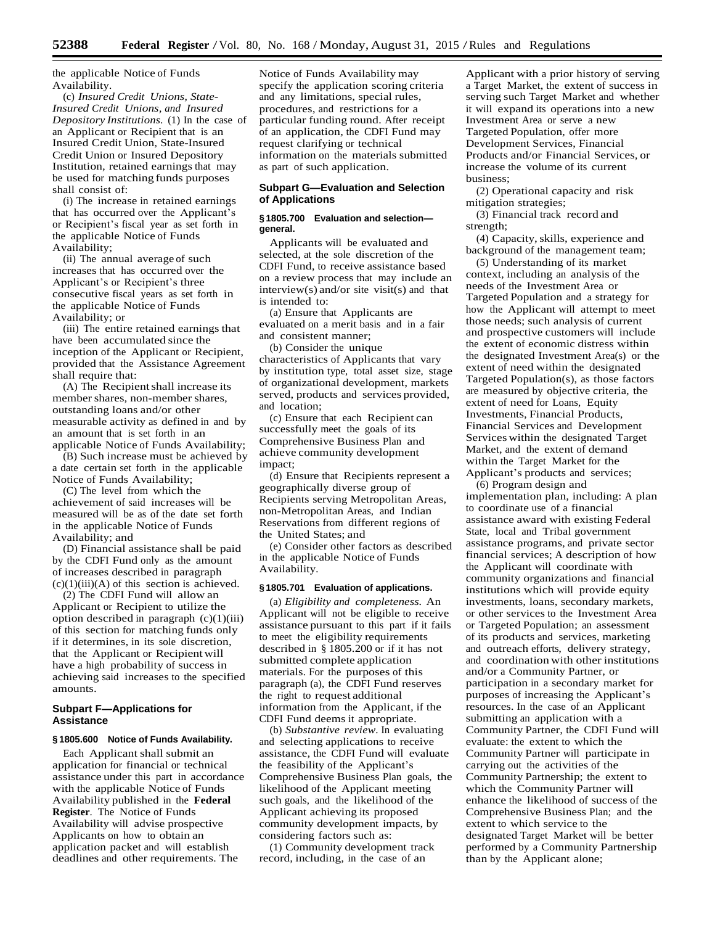the applicable Notice of Funds Availability.

(c) *Insured Credit Unions, State-Insured Credit Unions, and Insured Depository Institutions.* (1) In the case of an Applicant or Recipient that is an Insured Credit Union, State-Insured Credit Union or Insured Depository Institution, retained earnings that may be used for matching funds purposes shall consist of:

(i) The increase in retained earnings that has occurred over the Applicant's or Recipient's fiscal year as set forth in the applicable Notice of Funds Availability;

(ii) The annual average of such increases that has occurred over the Applicant's or Recipient's three consecutive fiscal years as set forth in the applicable Notice of Funds Availability; or

(iii) The entire retained earnings that have been accumulated since the inception of the Applicant or Recipient, provided that the Assistance Agreement shall require that:

(A) The Recipient shall increase its member shares, non-member shares, outstanding loans and/or other measurable activity as defined in and by an amount that is set forth in an applicable Notice of Funds Availability;

(B) Such increase must be achieved by a date certain set forth in the applicable Notice of Funds Availability;

(C) The level from which the achievement of said increases will be measured will be as of the date set forth in the applicable Notice of Funds Availability; and

(D) Financial assistance shall be paid by the CDFI Fund only as the amount of increases described in paragraph  $(c)(1)(iii)(A)$  of this section is achieved.

(2) The CDFI Fund will allow an Applicant or Recipient to utilize the option described in paragraph  $(c)(1)(iii)$ of this section for matching funds only if it determines, in its sole discretion, that the Applicant or Recipientwill have a high probability of success in achieving said increases to the specified amounts.

### **Subpart F—Applications for Assistance**

### **§ 1805.600 Notice of Funds Availability.**

Each Applicant shall submit an application for financial or technical assistance under this part in accordance with the applicable Notice of Funds Availability published in the **Federal Register**. The Notice of Funds Availability will advise prospective Applicants on how to obtain an application packet and will establish deadlines and other requirements. The

Notice of Funds Availability may specify the application scoring criteria and any limitations, special rules, procedures, and restrictions for a particular funding round. After receipt of an application, the CDFI Fund may request clarifying or technical information on the materials submitted as part of such application.

### **Subpart G—Evaluation and Selection of Applications**

### **§ 1805.700 Evaluation and selection general.**

Applicants will be evaluated and selected, at the sole discretion of the CDFI Fund, to receive assistance based on a review process that may include an interview(s) and/or site visit(s) and that is intended to:

(a) Ensure that Applicants are evaluated on a merit basis and in a fair and consistent manner;

(b) Consider the unique characteristics of Applicants that vary by institution type, total asset size, stage of organizational development, markets served, products and services provided, and location;

(c) Ensure that each Recipient can successfully meet the goals of its Comprehensive Business Plan and achieve community development impact;

(d) Ensure that Recipients represent a geographically diverse group of Recipients serving Metropolitan Areas, non-Metropolitan Areas, and Indian Reservations from different regions of the United States; and

(e) Consider other factors as described in the applicable Notice of Funds Availability.

#### **§ 1805.701 Evaluation of applications.**

(a) *Eligibility and completeness.* An Applicant will not be eligible to receive assistance pursuant to this part if it fails to meet the eligibility requirements described in § 1805.200 or if it has not submitted complete application materials. For the purposes of this paragraph (a), the CDFI Fund reserves the right to request additional information from the Applicant, if the CDFI Fund deems it appropriate.

(b) *Substantive review.* In evaluating and selecting applications to receive assistance, the CDFI Fund will evaluate the feasibility of the Applicant's Comprehensive Business Plan goals, the likelihood of the Applicant meeting such goals, and the likelihood of the Applicant achieving its proposed community development impacts, by considering factors such as:

(1) Community development track record, including, in the case of an

Applicant with a prior history of serving a Target Market, the extent of success in serving such Target Market and whether it will expand its operations into a new Investment Area or serve a new Targeted Population, offer more Development Services, Financial Products and/or Financial Services, or increase the volume of its current business;

(2) Operational capacity and risk mitigation strategies;

(3) Financial track record and strength;

(4) Capacity,skills, experience and background of the management team;

(5) Understanding of its market context, including an analysis of the needs of the Investment Area or Targeted Population and a strategy for how the Applicant will attempt to meet those needs; such analysis of current and prospective customers will include the extent of economic distress within the designated Investment Area(s) or the extent of need within the designated Targeted Population(s), as those factors are measured by objective criteria, the extent of need for Loans, Equity Investments, Financial Products, Financial Services and Development Services within the designated Target Market, and the extent of demand within the Target Market for the Applicant's products and services;

(6) Program design and implementation plan, including: A plan to coordinate use of a financial assistance award with existing Federal State, local and Tribal government assistance programs, and private sector financial services; A description of how the Applicant will coordinate with community organizations and financial institutions which will provide equity investments, loans, secondary markets, or other services to the Investment Area or Targeted Population; an assessment of its products and services, marketing and outreach efforts, delivery strategy, and coordination with other institutions and/or a Community Partner, or participation in a secondary market for purposes of increasing the Applicant's resources. In the case of an Applicant submitting an application with a Community Partner, the CDFI Fund will evaluate: the extent to which the Community Partner will participate in carrying out the activities of the Community Partnership; the extent to which the Community Partner will enhance the likelihood of success of the Comprehensive Business Plan; and the extent to which service to the designated Target Market will be better performed by a Community Partnership than by the Applicant alone;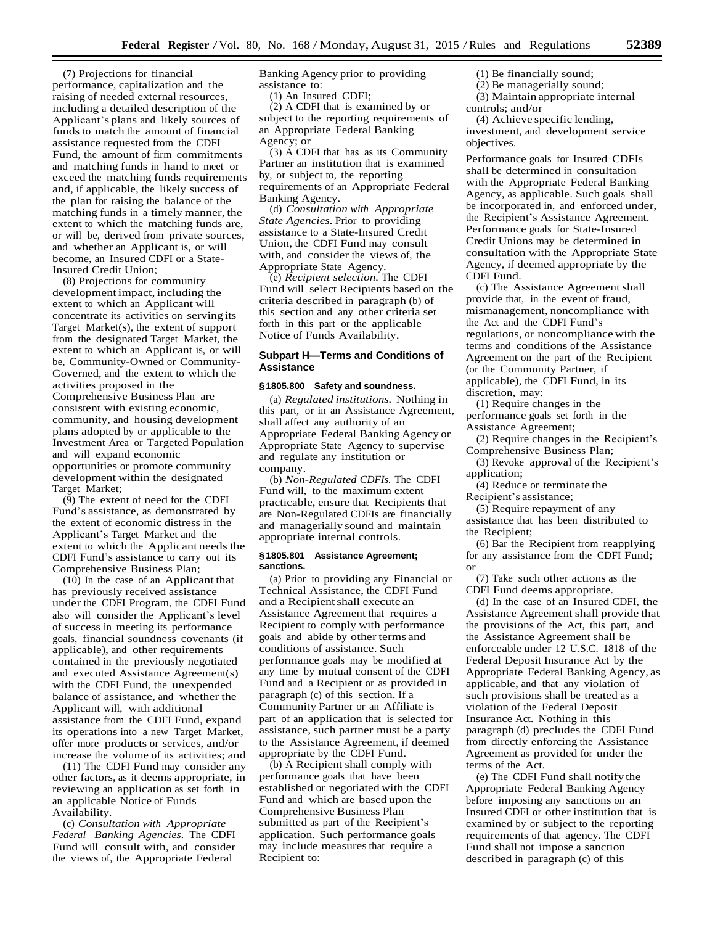(7) Projections for financial performance, capitalization and the raising of needed external resources, including a detailed description of the Applicant's plans and likely sources of funds to match the amount of financial assistance requested from the CDFI Fund, the amount of firm commitments and matching funds in hand to meet or exceed the matching funds requirements and, if applicable, the likely success of the plan for raising the balance of the matching funds in a timely manner, the extent to which the matching funds are, or will be, derived from private sources, and whether an Applicant is, or will become, an Insured CDFI or a State-Insured Credit Union;

(8) Projections for community development impact, including the extent to which an Applicant will concentrate its activities on serving its Target Market(s), the extent of support from the designated Target Market, the extent to which an Applicant is, or will be, Community-Owned or Community-Governed, and the extent to which the activities proposed in the Comprehensive Business Plan are consistent with existing economic, community, and housing development plans adopted by or applicable to the Investment Area or Targeted Population and will expand economic opportunities or promote community development within the designated Target Market;

(9) The extent of need for the CDFI Fund's assistance, as demonstrated by the extent of economic distress in the Applicant's Target Market and the extent to which the Applicant needs the CDFI Fund's assistance to carry out its Comprehensive Business Plan;

 $(10)$  In the case of an Applicant that has previously received assistance under the CDFI Program, the CDFI Fund also will consider the Applicant's level of success in meeting its performance goals, financial soundness covenants (if applicable), and other requirements contained in the previously negotiated and executed Assistance Agreement(s) with the CDFI Fund, the unexpended balance of assistance, and whether the Applicant will, with additional assistance from the CDFI Fund, expand its operations into a new Target Market, offer more products or services, and/or increase the volume of its activities; and

(11) The CDFI Fund may consider any other factors, as it deems appropriate, in reviewing an application as set forth in an applicable Notice of Funds Availability.

(c) *Consultation with Appropriate Federal Banking Agencies.* The CDFI Fund will consult with, and consider the views of, the Appropriate Federal

Banking Agency prior to providing assistance to:

(1) An Insured CDFI;

(2) A CDFI that is examined by or subject to the reporting requirements of an Appropriate Federal Banking Agency; or

(3) A CDFI that has as its Community Partner an institution that is examined by, or subject to, the reporting requirements of an Appropriate Federal Banking Agency.

(d) *Consultation with Appropriate State Agencies.* Prior to providing assistance to a State-Insured Credit Union, the CDFI Fund may consult with, and consider the views of, the Appropriate State Agency.

(e) *Recipient selection.* The CDFI Fund will select Recipients based on the criteria described in paragraph (b) of this section and any other criteria set forth in this part or the applicable Notice of Funds Availability.

## **Subpart H—Terms and Conditions of Assistance**

#### **§ 1805.800 Safety and soundness.**

(a) *Regulated institutions.* Nothing in this part, or in an Assistance Agreement, shall affect any authority of an Appropriate Federal Banking Agency or Appropriate State Agency to supervise and regulate any institution or company.

(b) *Non-Regulated CDFIs.* The CDFI Fund will, to the maximum extent practicable, ensure that Recipients that are Non-Regulated CDFIs are financially and managerially sound and maintain appropriate internal controls.

#### **§ 1805.801 Assistance Agreement; sanctions.**

(a) Prior to providing any Financial or Technical Assistance, the CDFI Fund and a Recipientshall execute an Assistance Agreement that requires a Recipient to comply with performance goals and abide by other terms and conditions of assistance. Such performance goals may be modified at any time by mutual consent of the CDFI Fund and a Recipient or as provided in paragraph (c) of this section. If a Community Partner or an Affiliate is part of an application that is selected for assistance, such partner must be a party to the Assistance Agreement, if deemed appropriate by the CDFI Fund.

(b) A Recipient shall comply with performance goals that have been established or negotiated with the CDFI Fund and which are based upon the Comprehensive Business Plan submitted as part of the Recipient's application. Such performance goals may include measures that require a Recipient to:

(1) Be financially sound;

(2) Be managerially sound;

(3) Maintain appropriate internal controls; and/or

(4) Achieve specific lending, investment, and development service objectives.

Performance goals for Insured CDFIs shall be determined in consultation with the Appropriate Federal Banking Agency, as applicable. Such goals shall be incorporated in, and enforced under, the Recipient's Assistance Agreement. Performance goals for State-Insured Credit Unions may be determined in consultation with the Appropriate State Agency, if deemed appropriate by the CDFI Fund.

(c) The Assistance Agreement shall provide that, in the event of fraud, mismanagement, noncompliance with the Act and the CDFI Fund's regulations, or noncompliancewith the terms and conditions of the Assistance Agreement on the part of the Recipient (or the Community Partner, if applicable), the CDFI Fund, in its discretion, may:

(1) Require changes in the performance goals set forth in the Assistance Agreement;

(2) Require changes in the Recipient's Comprehensive Business Plan;

(3) Revoke approval of the Recipient's application;

(4) Reduce or terminate the Recipient's assistance;

(5) Require repayment of any assistance that has been distributed to the Recipient;

(6) Bar the Recipient from reapplying for any assistance from the CDFI Fund; or

(7) Take such other actions as the CDFI Fund deems appropriate.

(d) In the case of an Insured CDFI, the Assistance Agreement shall provide that the provisions of the Act, this part, and the Assistance Agreement shall be enforceable under 12 U.S.C. 1818 of the Federal Deposit Insurance Act by the Appropriate Federal Banking Agency, as applicable, and that any violation of such provisions shall be treated as a violation of the Federal Deposit Insurance Act. Nothing in this paragraph (d) precludes the CDFI Fund from directly enforcing the Assistance Agreement as provided for under the terms of the Act.

(e) The CDFI Fund shall notify the Appropriate Federal Banking Agency before imposing any sanctions on an Insured CDFI or other institution that is examined by or subject to the reporting requirements of that agency. The CDFI Fund shall not impose a sanction described in paragraph (c) of this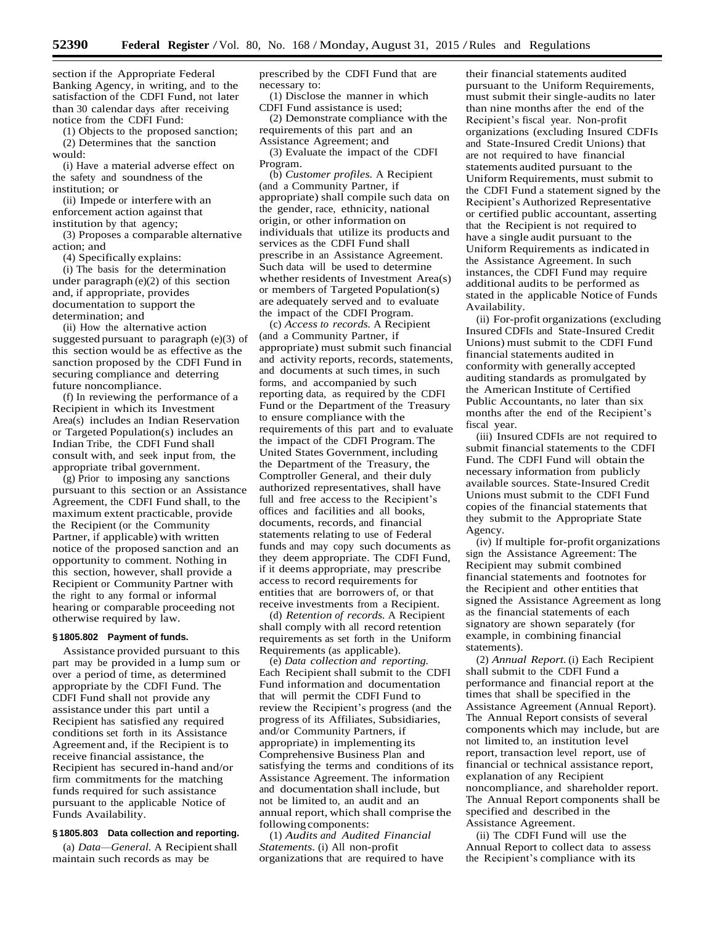section if the Appropriate Federal Banking Agency, in writing, and to the satisfaction of the CDFI Fund, not later than 30 calendar days after receiving notice from the CDFI Fund:

(1) Objects to the proposed sanction; (2) Determines that the sanction would:

(i) Have a material adverse effect on the safety and soundness of the institution; or

(ii) Impede or interfere with an enforcement action against that institution by that agency;

(3) Proposes a comparable alternative action; and

(4) Specifically explains:

(i) The basis for the determination under paragraph (e)(2) of this section and, if appropriate, provides documentation to support the determination; and

(ii) How the alternative action suggested pursuant to paragraph (e)(3) of this section would be as effective as the sanction proposed by the CDFI Fund in securing compliance and deterring future noncompliance.

(f) In reviewing the performance of a Recipient in which its Investment Area(s) includes an Indian Reservation or Targeted Population(s) includes an Indian Tribe, the CDFI Fund shall consult with, and seek input from, the appropriate tribal government.

(g) Prior to imposing any sanctions pursuant to this section or an Assistance Agreement, the CDFI Fund shall, to the maximum extent practicable, provide the Recipient (or the Community Partner, if applicable) with written notice of the proposed sanction and an opportunity to comment. Nothing in this section, however, shall provide a Recipient or Community Partner with the right to any formal or informal hearing or comparable proceeding not otherwise required by law.

#### **§ 1805.802 Payment of funds.**

Assistance provided pursuant to this part may be provided in a lump sum or over a period of time, as determined appropriate by the CDFI Fund. The CDFI Fund shall not provide any assistance under this part until a Recipient has satisfied any required conditions set forth in its Assistance Agreement and, if the Recipient is to receive financial assistance, the Recipient has secured in-hand and/or firm commitments for the matching funds required for such assistance pursuant to the applicable Notice of Funds Availability.

## **§ 1805.803 Data collection and reporting.**

(a) *Data-General*. A Recipient shall maintain such records as may be

prescribed by the CDFI Fund that are necessary to:

(1) Disclose the manner in which CDFI Fund assistance is used;

(2) Demonstrate compliance with the requirements of this part and an Assistance Agreement; and

(3) Evaluate the impact of the CDFI Program.

(b) *Customer profiles.* A Recipient (and a Community Partner, if appropriate) shall compile such data on the gender, race, ethnicity, national origin, or other information on individuals that utilize its products and services as the CDFI Fund shall prescribe in an Assistance Agreement. Such data will be used to determine whether residents of Investment Area(s) or members of Targeted Population(s) are adequately served and to evaluate the impact of the CDFI Program.

(c) *Access to records.* A Recipient (and a Community Partner, if appropriate) must submit such financial and activity reports, records, statements, and documents at such times, in such forms, and accompanied by such reporting data, as required by the CDFI Fund or the Department of the Treasury to ensure compliance with the requirements of this part and to evaluate the impact of the CDFI Program.The United States Government, including the Department of the Treasury, the Comptroller General, and their duly authorized representatives, shall have full and free access to the Recipient's offices and facilities and all books, documents, records, and financial statements relating to use of Federal funds and may copy such documents as they deem appropriate. The CDFI Fund, if it deems appropriate, may prescribe access to record requirements for entities that are borrowers of, or that receive investments from a Recipient.

(d) *Retention of records.* A Recipient shall comply with all record retention requirements as set forth in the Uniform Requirements (as applicable).

(e) *Data collection and reporting.* Each Recipient shall submit to the CDFI Fund information and documentation that will permit the CDFI Fund to review the Recipient's progress (and the progress of its Affiliates, Subsidiaries, and/or Community Partners, if appropriate) in implementing its Comprehensive Business Plan and satisfying the terms and conditions of its Assistance Agreement. The information and documentation shall include, but not be limited to, an audit and an annual report, which shall comprise the following components:

(1) *Audits and Audited Financial Statements.* (i) All non-profit organizations that are required to have

their financial statements audited pursuant to the Uniform Requirements, must submit their single-audits no later than nine months after the end of the Recipient's fiscal year. Non-profit organizations (excluding Insured CDFIs and State-Insured Credit Unions) that are not required to have financial statements audited pursuant to the Uniform Requirements, must submit to the CDFI Fund a statement signed by the Recipient's Authorized Representative or certified public accountant, asserting that the Recipient is not required to have a single audit pursuant to the Uniform Requirements as indicated in the Assistance Agreement. In such instances, the CDFI Fund may require additional audits to be performed as stated in the applicable Notice of Funds Availability.

(ii) For-profit organizations (excluding Insured CDFIs and State-Insured Credit Unions) must submit to the CDFI Fund financial statements audited in conformity with generally accepted auditing standards as promulgated by the American Institute of Certified Public Accountants, no later than six months after the end of the Recipient's fiscal year.

(iii) Insured CDFIs are not required to submit financial statements to the CDFI Fund. The CDFI Fund will obtain the necessary information from publicly available sources. State-Insured Credit Unions must submit to the CDFI Fund copies of the financial statements that they submit to the Appropriate State Agency.

(iv) If multiple for-profit organizations sign the Assistance Agreement: The Recipient may submit combined financial statements and footnotes for the Recipient and other entities that signed the Assistance Agreement as long as the financial statements of each signatory are shown separately (for example, in combining financial statements).

(2) *Annual Report.* (i) Each Recipient shall submit to the CDFI Fund a performance and financial report at the times that shall be specified in the Assistance Agreement (Annual Report). The Annual Report consists of several components which may include, but are not limited to, an institution level report, transaction level report, use of financial or technical assistance report, explanation of any Recipient noncompliance, and shareholder report. The Annual Report components shall be specified and described in the Assistance Agreement.

(ii) The CDFI Fund will use the Annual Report to collect data to assess the Recipient's compliance with its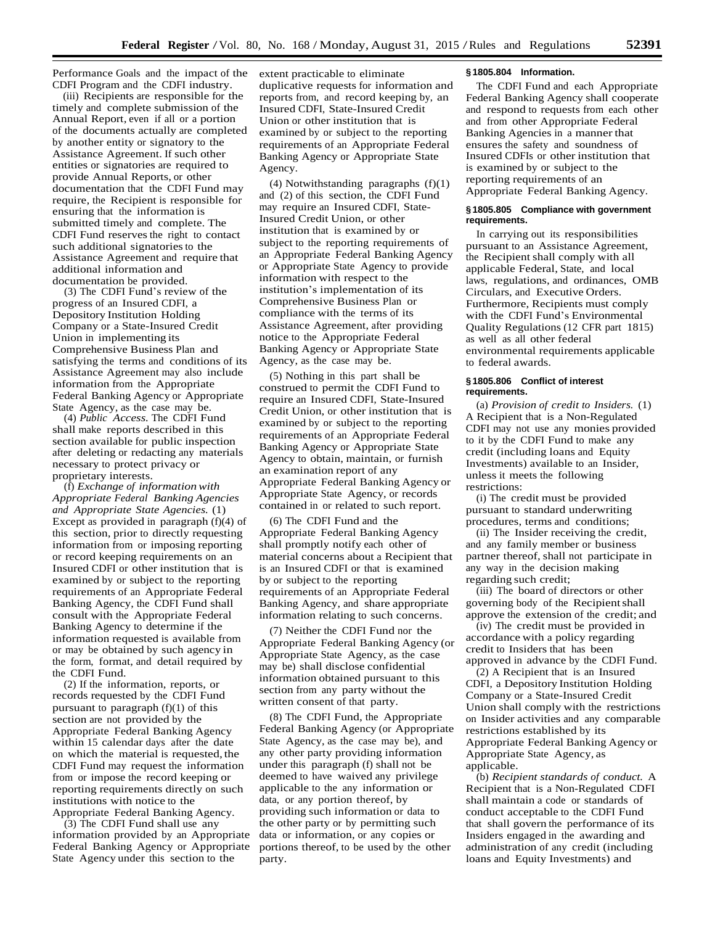Performance Goals and the impact of the CDFI Program and the CDFI industry.

(iii) Recipients are responsible for the timely and complete submission of the Annual Report, even if all or a portion of the documents actually are completed by another entity or signatory to the Assistance Agreement. If such other entities or signatories are required to provide Annual Reports, or other documentation that the CDFI Fund may require, the Recipient is responsible for ensuring that the information is submitted timely and complete. The CDFI Fund reserves the right to contact such additional signatories to the Assistance Agreement and require that additional information and documentation be provided.

(3) The CDFI Fund's review of the progress of an Insured CDFI, a Depository Institution Holding Company or a State-Insured Credit Union in implementing its Comprehensive Business Plan and satisfying the terms and conditions of its Assistance Agreement may also include information from the Appropriate Federal Banking Agency or Appropriate State Agency, as the case may be.

(4) *Public Access.* The CDFI Fund shall make reports described in this section available for public inspection after deleting or redacting any materials necessary to protect privacy or proprietary interests.

(f) *Exchange of informationwith Appropriate Federal Banking Agencies and Appropriate State Agencies.* (1) Except as provided in paragraph (f)(4) of this section, prior to directly requesting information from or imposing reporting or record keeping requirements on an Insured CDFI or other institution that is examined by or subject to the reporting requirements of an Appropriate Federal Banking Agency, the CDFI Fund shall consult with the Appropriate Federal Banking Agency to determine if the information requested is available from or may be obtained by such agency in the form, format, and detail required by the CDFI Fund.

(2) If the information, reports, or records requested by the CDFI Fund pursuant to paragraph  $(f)(1)$  of this section are not provided by the Appropriate Federal Banking Agency within 15 calendar days after the date on which the material is requested, the CDFI Fund may request the information from or impose the record keeping or reporting requirements directly on such institutions with notice to the Appropriate Federal Banking Agency.

(3) The CDFI Fund shall use any information provided by an Appropriate Federal Banking Agency or Appropriate State Agency under this section to the

extent practicable to eliminate duplicative requests for information and reports from, and record keeping by, an Insured CDFI, State-Insured Credit Union or other institution that is examined by or subject to the reporting requirements of an Appropriate Federal Banking Agency or Appropriate State Agency.

(4) Notwithstanding paragraphs (f)(1) and (2) of this section, the CDFI Fund may require an Insured CDFI, State-Insured Credit Union, or other institution that is examined by or subject to the reporting requirements of an Appropriate Federal Banking Agency or Appropriate State Agency to provide information with respect to the institution's implementation of its Comprehensive Business Plan or compliance with the terms of its Assistance Agreement, after providing notice to the Appropriate Federal Banking Agency or Appropriate State Agency, as the case may be.

(5) Nothing in this part shall be construed to permit the CDFI Fund to require an Insured CDFI, State-Insured Credit Union, or other institution that is examined by or subject to the reporting requirements of an Appropriate Federal Banking Agency or Appropriate State Agency to obtain, maintain, or furnish an examination report of any Appropriate Federal Banking Agency or Appropriate State Agency, or records contained in or related to such report.

(6) The CDFI Fund and the Appropriate Federal Banking Agency shall promptly notify each other of material concerns about a Recipient that is an Insured CDFI or that is examined by or subject to the reporting requirements of an Appropriate Federal Banking Agency, and share appropriate information relating to such concerns.

(7) Neither the CDFI Fund nor the Appropriate Federal Banking Agency (or Appropriate State Agency, as the case may be) shall disclose confidential information obtained pursuant to this section from any party without the written consent of that party.

(8) The CDFI Fund, the Appropriate Federal Banking Agency (or Appropriate State Agency, as the case may be), and any other party providing information under this paragraph (f) shall not be deemed to have waived any privilege applicable to the any information or data, or any portion thereof, by providing such information or data to the other party or by permitting such data or information, or any copies or portions thereof, to be used by the other party.

## **§ 1805.804 Information.**

The CDFI Fund and each Appropriate Federal Banking Agency shall cooperate and respond to requests from each other and from other Appropriate Federal Banking Agencies in a manner that ensures the safety and soundness of Insured CDFIs or other institution that is examined by or subject to the reporting requirements of an Appropriate Federal Banking Agency.

### **§ 1805.805 Compliance with government requirements.**

In carrying out its responsibilities pursuant to an Assistance Agreement, the Recipient shall comply with all applicable Federal, State, and local laws, regulations, and ordinances, OMB Circulars, and Executive Orders. Furthermore, Recipients must comply with the CDFI Fund's Environmental Quality Regulations (12 CFR part 1815) as well as all other federal environmental requirements applicable to federal awards.

### **§ 1805.806 Conflict of interest requirements.**

(a) *Provision of credit to Insiders.* (1) A Recipient that is a Non-Regulated CDFI may not use any monies provided to it by the CDFI Fund to make any credit (including loans and Equity Investments) available to an Insider, unless it meets the following restrictions:

(i) The credit must be provided pursuant to standard underwriting procedures, terms and conditions;

(ii) The Insider receiving the credit, and any family member or business partner thereof, shall not participate in any way in the decision making regarding such credit;

(iii) The board of directors or other governing body of the Recipientshall approve the extension of the credit; and

(iv) The credit must be provided in accordance with a policy regarding credit to Insiders that has been approved in advance by the CDFI Fund.

(2) A Recipient that is an Insured CDFI, a Depository Institution Holding Company or a State-Insured Credit Union shall comply with the restrictions on Insider activities and any comparable restrictions established by its Appropriate Federal Banking Agency or Appropriate State Agency, as applicable.

(b) *Recipient standards of conduct.* A Recipient that is a Non-Regulated CDFI shall maintain a code or standards of conduct acceptable to the CDFI Fund that shall govern the performance of its Insiders engaged in the awarding and administration of any credit (including loans and Equity Investments) and